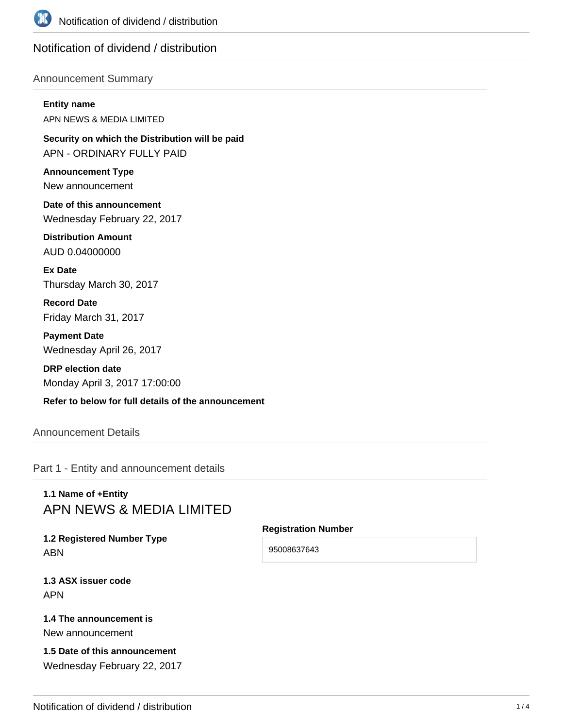

# Notification of dividend / distribution

## Announcement Summary

#### **Entity name**

APN NEWS & MEDIA LIMITED

**Security on which the Distribution will be paid** APN - ORDINARY FULLY PAID

**Announcement Type** New announcement

**Date of this announcement** Wednesday February 22, 2017

**Distribution Amount** AUD 0.04000000

**Ex Date** Thursday March 30, 2017

**Record Date** Friday March 31, 2017

**Payment Date** Wednesday April 26, 2017

**DRP election date** Monday April 3, 2017 17:00:00

**Refer to below for full details of the announcement**

Announcement Details

Part 1 - Entity and announcement details

# **1.1 Name of +Entity** APN NEWS & MEDIA LIMITED

**1.2 Registered Number Type** ABN

**1.3 ASX issuer code** APN

**1.4 The announcement is** New announcement

**1.5 Date of this announcement** Wednesday February 22, 2017

#### **Registration Number**

95008637643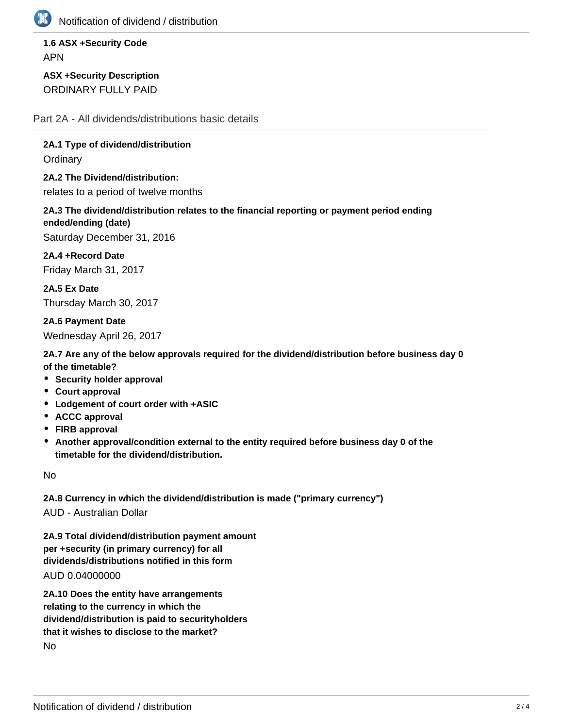

Notification of dividend / distribution

**1.6 ASX +Security Code** APN

**ASX +Security Description** ORDINARY FULLY PAID

Part 2A - All dividends/distributions basic details

**2A.1 Type of dividend/distribution Ordinary** 

**2A.2 The Dividend/distribution:**

relates to a period of twelve months

**2A.3 The dividend/distribution relates to the financial reporting or payment period ending ended/ending (date)**

Saturday December 31, 2016

**2A.4 +Record Date** Friday March 31, 2017

**2A.5 Ex Date** Thursday March 30, 2017

**2A.6 Payment Date** Wednesday April 26, 2017

**2A.7 Are any of the below approvals required for the dividend/distribution before business day 0 of the timetable?**

- **Security holder approval**
- **Court approval**
- **Lodgement of court order with +ASIC**
- **ACCC approval**
- **FIRB approval**
- **Another approval/condition external to the entity required before business day 0 of the timetable for the dividend/distribution.**

No

**2A.8 Currency in which the dividend/distribution is made ("primary currency")** AUD - Australian Dollar

**2A.9 Total dividend/distribution payment amount per +security (in primary currency) for all**

**dividends/distributions notified in this form**

AUD 0.04000000

**2A.10 Does the entity have arrangements relating to the currency in which the dividend/distribution is paid to securityholders that it wishes to disclose to the market?** No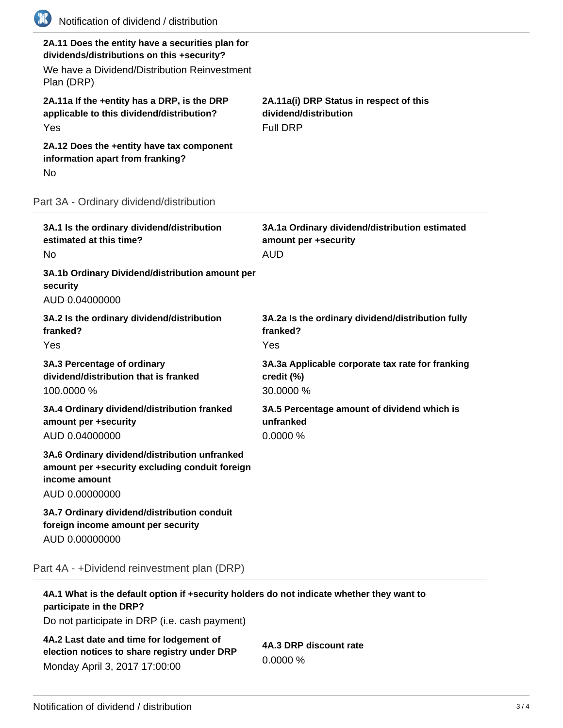| (K)<br>Notification of dividend / distribution                                                                                                               |                                                                                      |
|--------------------------------------------------------------------------------------------------------------------------------------------------------------|--------------------------------------------------------------------------------------|
| 2A.11 Does the entity have a securities plan for<br>dividends/distributions on this +security?<br>We have a Dividend/Distribution Reinvestment<br>Plan (DRP) |                                                                                      |
| 2A.11a If the +entity has a DRP, is the DRP<br>applicable to this dividend/distribution?<br>Yes                                                              | 2A.11a(i) DRP Status in respect of this<br>dividend/distribution<br><b>Full DRP</b>  |
| 2A.12 Does the +entity have tax component<br>information apart from franking?<br>No                                                                          |                                                                                      |
| Part 3A - Ordinary dividend/distribution                                                                                                                     |                                                                                      |
| 3A.1 Is the ordinary dividend/distribution<br>estimated at this time?<br>No                                                                                  | 3A.1a Ordinary dividend/distribution estimated<br>amount per +security<br><b>AUD</b> |
| 3A.1b Ordinary Dividend/distribution amount per<br>security<br>AUD 0.04000000                                                                                |                                                                                      |
| 3A.2 Is the ordinary dividend/distribution<br>franked?<br>Yes                                                                                                | 3A.2a Is the ordinary dividend/distribution fully<br>franked?<br>Yes                 |
| 3A.3 Percentage of ordinary<br>dividend/distribution that is franked<br>100.0000 %                                                                           | 3A.3a Applicable corporate tax rate for franking<br>credit (%)<br>30.0000 %          |
| 3A.4 Ordinary dividend/distribution franked<br>amount per +security<br>AUD 0.04000000                                                                        | 3A.5 Percentage amount of dividend which is<br>unfranked<br>0.0000 %                 |
| 3A.6 Ordinary dividend/distribution unfranked<br>amount per +security excluding conduit foreign<br>income amount<br>AUD 0.00000000                           |                                                                                      |
| 3A.7 Ordinary dividend/distribution conduit<br>foreign income amount per security<br>AUD 0.00000000                                                          |                                                                                      |
| Part 4A - +Dividend reinvestment plan (DRP)                                                                                                                  |                                                                                      |
| 4A.1 What is the default option if +security holders do not indicate whether they want to                                                                    |                                                                                      |

**participate in the DRP?**

Do not participate in DRP (i.e. cash payment)

**4A.2 Last date and time for lodgement of election notices to share registry under DRP** Monday April 3, 2017 17:00:00

**4A.3 DRP discount rate** 0.0000 %